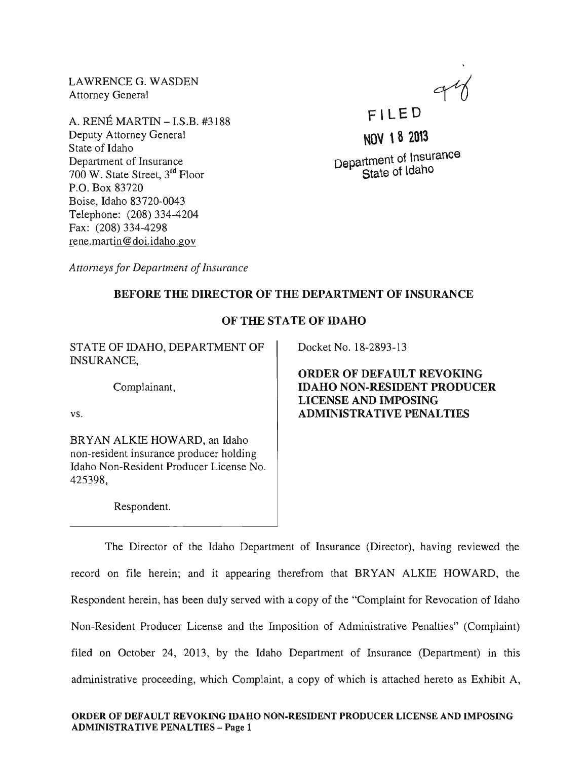LAWRENCEG. WASDEN Attorney General

A. RENE MARTIN -I.S.B. #3188 Deputy Attorney General State of Idaho Department of Insurance 700 W. State Street, 3rd Floor P.O. Box 83720 Boise, Idaho 83720-0043 Telephone: (208) 334-4204 Fax: (208) 334-4298 rene.martin@doi.idaho.gov

**F' LE 0 NOV \ 8 20\3** 

Department of insurance State of Idaho

*Attomeys for Department of Insurance* 

## BEFORE THE DIRECTOR OF THE DEPARTMENT OF INSURANCE

## OF THE STATE OF IDAHO

STATE OF IDAHO, DEPARTMENT OF INSURANCE,

Complainant,

vs.

BRYAN ALKIE HOWARD, an Idaho non-resident insurance producer holding Idaho Non-Resident Producer License No. 425398,

Respondent.

Docket No. 18-2893-13

ORDER OF DEFAULT REVOKING IDAHO NON-RESIDENT PRODUCER LICENSE AND IMPOSING ADMINISTRATIVE PENALTIES

The Director of the Idaho Department of Insurance (Director), having reviewed the record on file herein; and it appearing therefrom that BRYAN ALKIE HOWARD, the Respondent herein, has been duly served with a copy of the "Complaint for Revocation of Idaho Non-Resident Producer License and the Imposition of Administrative Penalties" (Complaint) filed on October 24, 2013, by the Idaho Department of Insurance (Department) in this administrative proceeding, which Complaint, a copy of which is attached hereto as Exhibit A,

### ORDER OF DEFAULT REVOKING IDAHO NON-RESIDENT PRODUCER LICENSE AND IMPOSING ADMINISTRATIVE PENALTIES - Page 1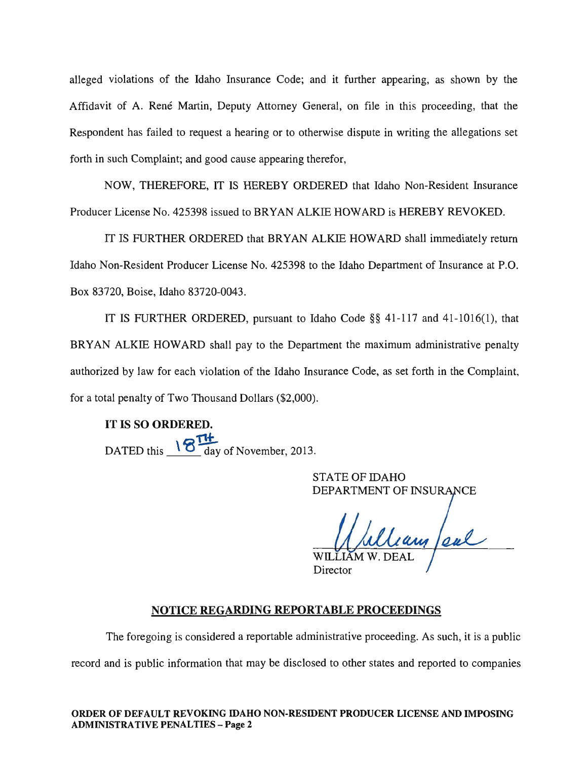alleged violations of the Idaho Insurance Code; and it further appearing, as shown by the Affidavit of A. René Martin, Deputy Attorney General, on file in this proceeding, that the Respondent has failed to request a hearing or to otherwise dispute in writing the allegations set forth in such Complaint; and good cause appearing therefor,

NOW, THEREFORE, IT IS HEREBY ORDERED that Idaho Non-Resident Insurance Producer License No. 425398 issued to BRYAN ALKIE HOWARD is HEREBY REVOKED.

IT IS FURTHER ORDERED that BRYAN ALKIE HOWARD shall immediately return Idaho Non-Resident Producer License No. 425398 to the Idaho Department of Insurance at P.O. Box 83720, Boise, Idaho 83720-0043.

IT IS FURTHER ORDERED, pursuant to Idaho Code §§ 41-117 and 41-1016(1), that BRYAN ALKIE HOWARD shall pay to the Department the maximum administrative penalty authorized by law for each violation of the Idaho Insurance Code, as set forth in the Complaint, for a total penalty of Two Thousand Dollars (\$2,000).

IT IS SO ORDERED.

DATED this  $\sqrt{8} \frac{\pi}{4}$  day of November, 2013.

STATE OF IDAHO DEPARTMENT OF INSURANCE

leary feal

Director

## NOTICE REGARDING REPORTABLE PROCEEDINGS

The foregoing is considered a reportable administrative proceeding. As such, it is a public

record and is public information that may be disclosed to other states and reported to companies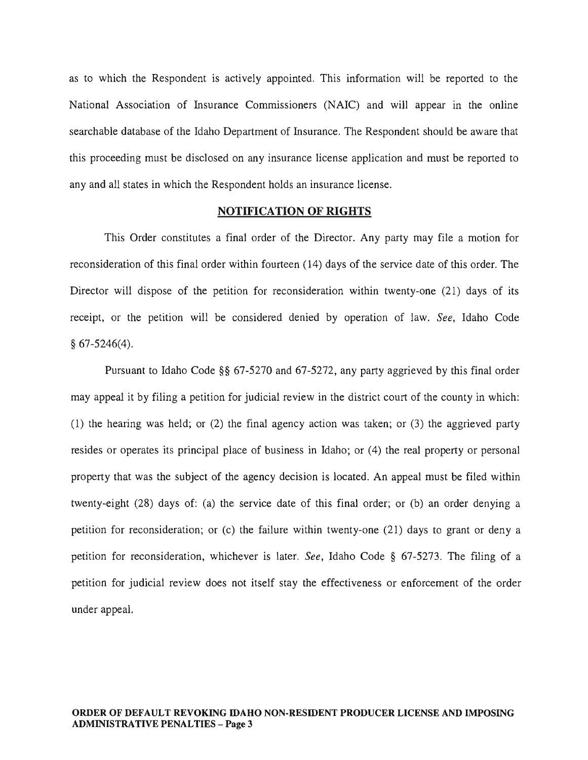as to which the Respondent is actively appointed. This information will be reported to the National Association of Insurance Commissioners (NAIC) and will appear in the online searchable database of the Idaho Department of Insurance. The Respondent should be aware that this proceeding must be disclosed on any insurance license application and must be reported to any and all states in which the Respondent holds an insurance license.

## **NOTIFICATION OF RIGHTS**

This Order constitutes a final order of the Director. Any party may file a motion for reconsideration of this final order within fourteen (14) days of the service date of this order. The Director will dispose of the petition for reconsideration within twenty-one (21) days of its receipt, or the petition will be considered denied by operation of law. *See,* Idaho Code  $§ 67-5246(4).$ 

Pursuant to Idaho Code §§ 67-5270 and 67-5272, any party aggrieved by this final order may appeal it by filing a petition for judicial review in the district court of the county in which: (1) the hearing was held; or (2) the final agency action was taken; or (3) the aggrieved party resides or operates its principal place of business in Idaho; or (4) the real property or personal property that was the subject of the agency decision is located. An appeal must be filed within twenty-eight (28) days of: (a) the service date of this final order; or (b) an order denying a petition for reconsideration; or (c) the failure within twenty-one (21) days to grant or deny a petition for reconsideration, whichever is later. *See,* Idaho Code § 67-5273. The filing of a petition for judicial review does not itself stay the effectiveness or enforcement of the order under appeal.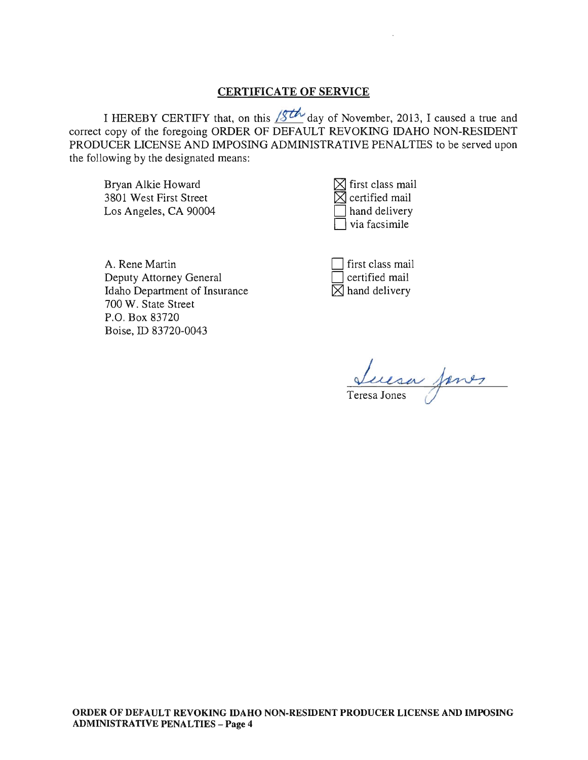# CERTIFICATE OF SERVICE

I HEREBY CERTIFY that, on this  $/8$ th day of November, 2013, I caused a true and correct copy of the foregoing ORDER OF DEFAULT REVOKING IDAHO NON-RESIDENT PRODUCER LICENSE AND IMPOSING ADMINISTRATIVE PENALTIES to be served upon the following by the designated means:

Bryan Alkie Howard 3801 West First Street Los Angeles, CA 90004

 $\Im$  first class mail  $\boxtimes$  certified mail hand delivery via facsimile

A. Rene Martin Deputy Attorney General Idaho Department of Insurance 700 W. State Street P.O. Box 83720 Boise, ID 83720-0043

D first class mail certified mail  $\boxtimes$  hand delivery

Juesa Janes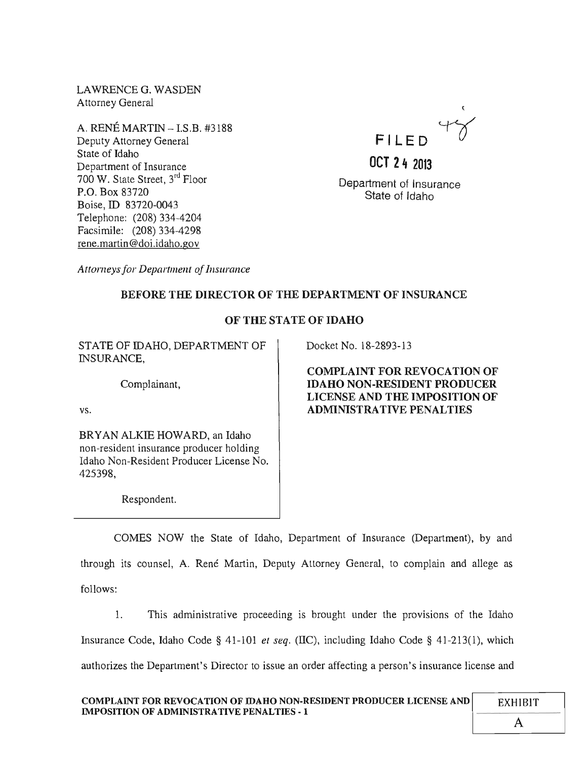LAWRENCEG. WASDEN Attorney General

A. RENE MARTIN - I.S.B. #3188 Deputy Attorney General State of Idaho Department of Insurance 700 W. State Street, 3rd Floor P.O. Box 83720 Boise, ID 83720-0043 Telephone: (208) 334-4204 Facsimile: (208) 334-4298 rene. martin @doi.idaho.gov



Department of Insurance State of Idaho

Attorneys for Department of Insurance

# BEFORE THE DIRECTOR OF THE DEPARTMENT OF INSURANCE

# OF THE STATE OF IDAHO

STATE OF IDAHO, DEPARTMENT OF INSURANCE,

Complainant,

vs.

BRY AN ALKIE HOWARD, an Idaho non-resident insurance producer holding Idaho Non-Resident Producer License No. 425398,

Respondent.

Docket No. 18-2893-13

COMPLAINT FOR REVOCATION OF IDAHO NON-RESIDENT PRODUCER LICENSE AND THE IMPOSITION OF ADMINISTRATIVE PENALTIES

COMES NOW the State of Idaho, Department of Insurance (Department), by and through its counsel, A. René Martin, Deputy Attorney General, to complain and allege as follows:

1. This administrative proceeding is brought under the provisions of the Idaho Insurance Code, Idaho Code § 41-101 *et seq.* (TIC), including Idaho Code § 41-213(1), which authorizes the Department's Director to issue an order affecting a person's insurance license and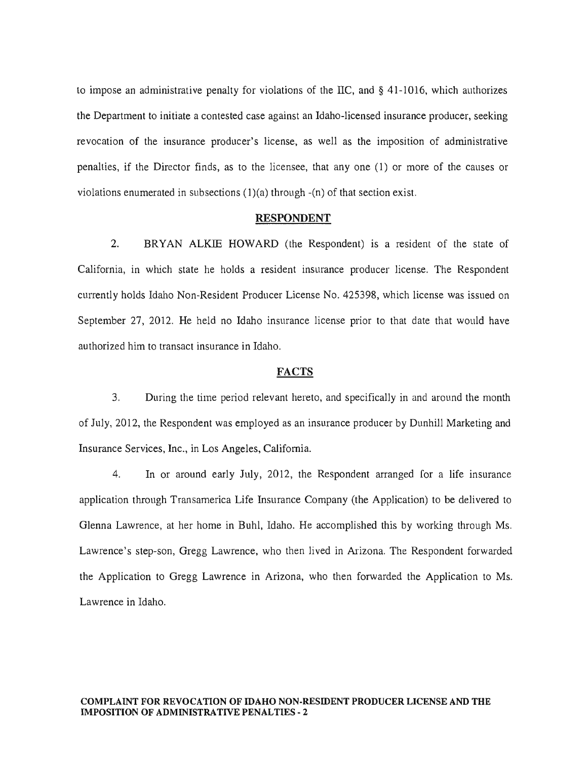to impose an administrative penalty for violations of the IIC, and  $\S$  41-1016, which authorizes the Department to initiate a contested case against an Idaho-licensed insurance producer, seeking revocation of the insurance producer's license, as well as the imposition of administrative penalties, if the Director finds, as to the licensee, that anyone (1) or more of the causes or violations enumerated in subsections  $(1)(a)$  through  $-(n)$  of that section exist.

#### RESPONDENT

2. BRYAN ALKIE HOWARD (the Respondent) is a resident of the state of California, in which state he holds a resident insurance producer license. The Respondent currently holds Idaho Non-Resident Producer License No. 425398, which license was issued on September 27, 2012. He held no Idaho insurance license prior to that date that would have authorized him to transact insurance in Idaho.

## FACTS

3. During the time period relevant hereto, and specifically in and around the month of July, 2012, the Respondent was employed as an insurance producer by Dunhill Marketing and Insurance Services, Inc., in Los Angeles, California.

4. In or around early July, 2012, the Respondent arranged for a life insurance application through Transamerica Life Insurance Company (the Application) to be delivered to Glenna Lawrence, at her home in Buhl, Idaho. He accomplished this by working through Ms. Lawrence's step-son, Gregg Lawrence, who then lived in Arizona. The Respondent forwarded the Application to Gregg Lawrence in Arizona, who then forwarded the Application to Ms. Lawrence in Idaho.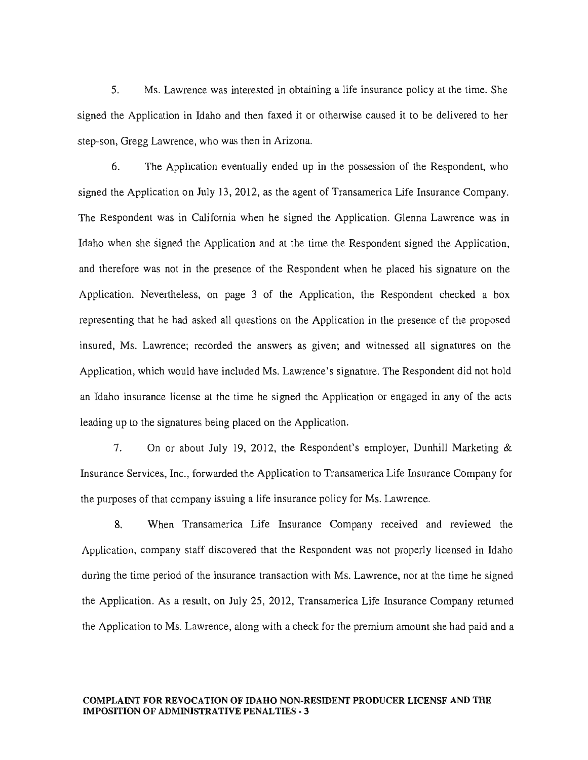5. Ms. Lawrence was interested in obtaining a life insurance policy at the time. She signed the Application in Idaho and then faxed it or otherwise caused it to be delivered to her step-son, Gregg Lawrence, who was then in Arizona.

6. The Application eventually ended up in the possession of the Respondent, who signed the Application on July 13,2012, as the agent of Transamerica Life Insurance Company. The Respondent was in California when he signed the Application. Glenna Lawrence was in Idaho when she signed the Application and at the time the Respondent signed the Application, and therefore was not in the presence of the Respondent when he placed his signature on the Application. Nevertheless, on page 3 of the Application, the Respondent checked a box representing that he had asked all questions on the Application in the presence of the proposed insured, Ms. Lawrence; recorded the answers as given; and witnessed all signatures on the Application, which would have included Ms. Lawrence's signature. The Respondent did not hold an Idaho insurance license at the time he signed the Application or engaged in any of the acts leading up to the signatures being placed on the Application.

7. On or about July 19, 2012, the Respondent's employer, Dunhill Marketing & Insurance Services, Inc., forwarded the Application to Transamerica Life Insurance Company for the purposes of that company issuing a life insurance policy for Ms. Lawrence.

8. When Transamerica Life Insurance Company received and reviewed the Application, company staff discovered that the Respondent was not properly licensed in Idaho during the time period of the insurance transaction with Ms. Lawrence, nor at the time he signed the Application. As a result, on July 25, 2012, Transamerica Life Insurance Company returned the Application to Ms. Lawrence, along with a check for the premium amount she had paid and a

#### COMPLAINT FOR REVOCATION OF IDAHO NON-RESIDENT PRODUCER LICENSE AND THE IMPOSITION OF ADMINISTRATIVE PENAL TIES - 3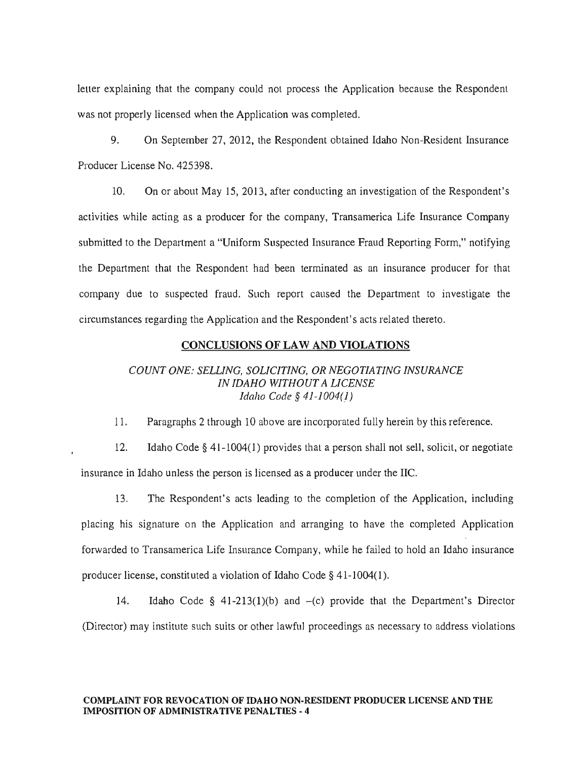leller explaining that the company could not process the Application because the Respondent was not properly licensed when the Application was completed.

9. On September 27, 2012, the Respondent obtained Idaho Non-Resident Insurance Producer License No. 425398.

10. On or about May 15, 2013, after conducting an investigation of the Respondent's activities while acting as a producer for the company, Transamerica Life Insurance Company submitted to the Department a "Uniform Suspected Insurance Fraud Reporting Form," notifying the Department that the Respondent had been terminated as an insurance producer for that company due to sllspected fraud. Such report caused the Department to investigate the circumstances regarding the Application and the Respondent's acts related thereto.

### CONCLUSIONS OF LAW AND VIOLATIONS

## *COUNT ONE: SELLING, SOLICITING, OR NEGOTIATING INSURANCE IN IDAHO WITHOUT A LICENSE Idaho Code* § *41-1004(J)*

11. Paragraphs 2 through 10 above are incorporated fully herein by this reference.

12. Idaho Code § 41-1004(1) provides that a person shall not sell, solicit, or negotiate insurance in Idaho unless the person is licensed as a producer under the IIC.

13. The Respondent's acts leading to the completion of the Application, including placing his signature on the Application and arranging to have the completed Application forwarded to Transamerica Life Insurance Company, while he failed to hold an Idaho insurance producer license, constituted a violation of Idaho Code  $\S$  41-1004(1).

14. Idaho Code § 41-213(1)(b) and -(c) provide that the Department's Director (Director) may institute such suits or other lawful proceedings as necessary to address violations

### COMPLAINT FOR REVOCATION OF IDAHO NON·RESIDENT PRODUCER LICENSE AND THE IMPOSITION OF ADMINISTRATIVE PENALTIES· 4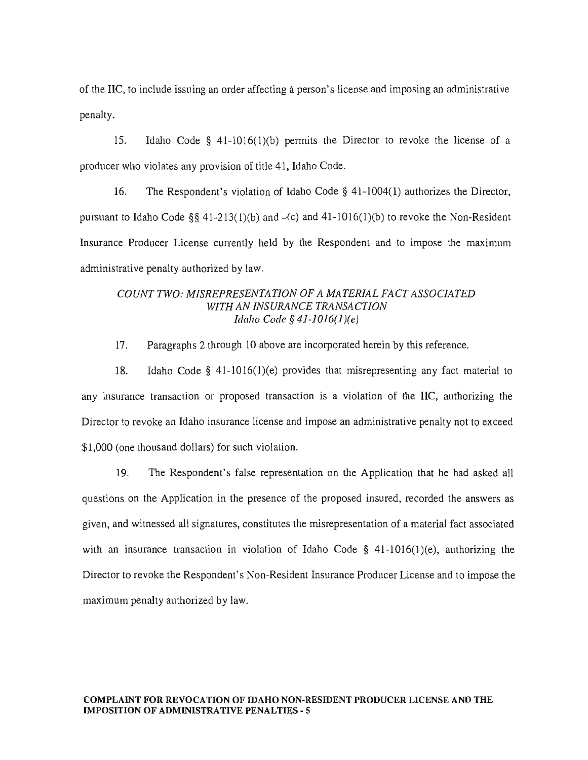of the IIC, to include issuing an order affecting a person's license and imposing an administrative penalty.

15. Idaho Code § 41-1016(1)(b) permits the Director to revoke the license of a producer who violates any provision of title 41, Idaho Code.

16. The Respondent's violation of Idaho Code § 41-1004(1) authorizes the Director, pursuant to Idaho Code §§ 41-213(1)(b) and  $-(c)$  and 41-1016(1)(b) to revoke the Non-Resident Insurance Producer License currently held by the Respondent and to impose the maximum administrative penalty authorized by law.

## *COUNT TWO: MISREPRESENTATION OF A MATERIAL FACT ASSOCIATED WITH AN INSURANCE TRANSACTION Idaho Code* § *41-1016(1)(e)*

17. Paragraphs 2 through 10 above are incorporated herein by this reference.

18. Idaho Code § 41-1016(1)(e) provides that misrepresenting any fact material to any insurance transaction or proposed transaction is a violation of the IIC, authorizing the Director to revoke an Idaho insurance license and impose an administrative penalty not to exceed \$1,000 (one thousand dollars) for such violation.

19. The Respondent's false representation on the Application that he had asked all questions on the Application in the presence of the proposed insured, recorded the answers as given, and witnessed all signatures, constitutes the misrepresentation of a material fact associated with an insurance transaction in violation of Idaho Code § 41-1016(1)(e), authorizing the Director to revoke the Respondent's Non-Resident Insurance Producer License and to impose the maximum penalty authorized by law.

#### COMPLAINT FOR REVOCATION OF IDAHO NON-RESIDENT PRODUCER LICENSE AND THE IMPOSITION OF ADMINISTRATIVE PENALTIES· 5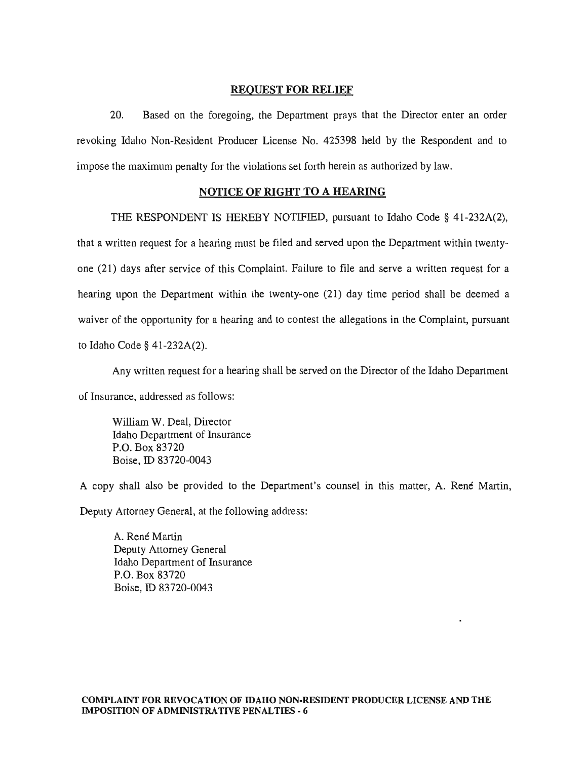## REQUEST FOR RELIEF

20. Based on the foregoing, the Department prays that the Director enter an order revoking Idaho Non-Resident Producer License No. 425398 held by the Respondent and to impose the maximum penalty for the violations set forth herein as authorized by law.

### NOTICE OF RIGHT TO A HEARING

THE RESPONDENT IS HEREBY NOTIFIED, pursuant to Idaho Code § 41-232A(2), that a written request for a hearing must be filed and served upon the Department within twentyone (21) days after service of this Complaint. Failure to file and serve a written request for a hearing upon the Department within the twenty-one (21) day time period shall be deemed a waiver of the opportunity for a hearing and to contest the allegations in the Complaint, pursuant to Idaho Code § 41-232A(2).

Any written request for a hearing shall be served on the Director of the Idaho Department

of Insurance, addressed as follows:

William W. Deal, Director Idaho Department of Insurance P.O. Box 83720 Boise, ID 83720-0043

A copy shall also be provided to the Department's counsel in this matter, A. René Martin, Deputy Attorney General, at the following address:

A. René Martin Deputy Attorney General Idaho Department of Insurance P.O. Box 83720 Boise, ID 83720-0043